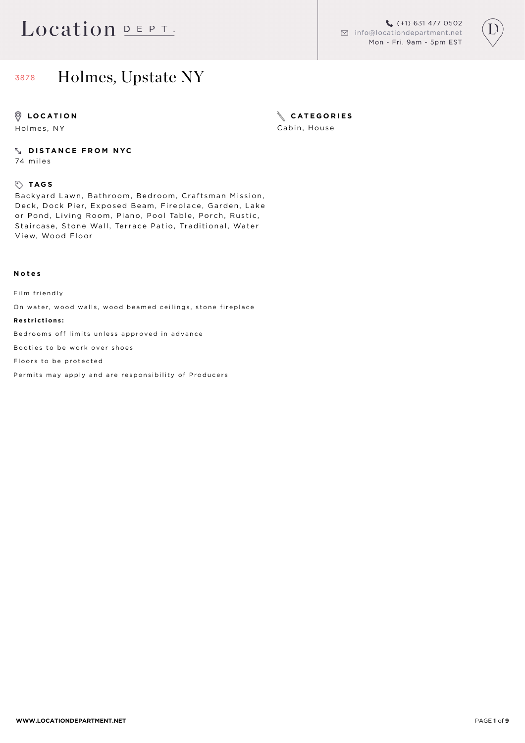

#### <sup>3878</sup> Holmes, Upstate NY

#### **Q** LOCATION

Holmes, NY

**DISTANCE FROM NYC** 74 miles

#### **TAGS**

Backyard Lawn, Bathroom, Bedroom, Craftsman Mission, Deck, Dock Pier, Exposed Beam, Fireplace, Garden, Lake or Pond, Living Room, Piano, Pool Table, Porch, Rustic, Staircase, Stone Wall, Terrace Patio, Traditional, Water View, Wood Floor

#### N o t e s

Film friendly

On water, wood walls, wood beamed ceilings, stone fireplace

#### Restrictions:

Bedrooms off limits unless approved in advance

Booties to be work over shoes

Floors to be protected

Permits may apply and are responsibility of Producers

**CATEGORIES** C abin, House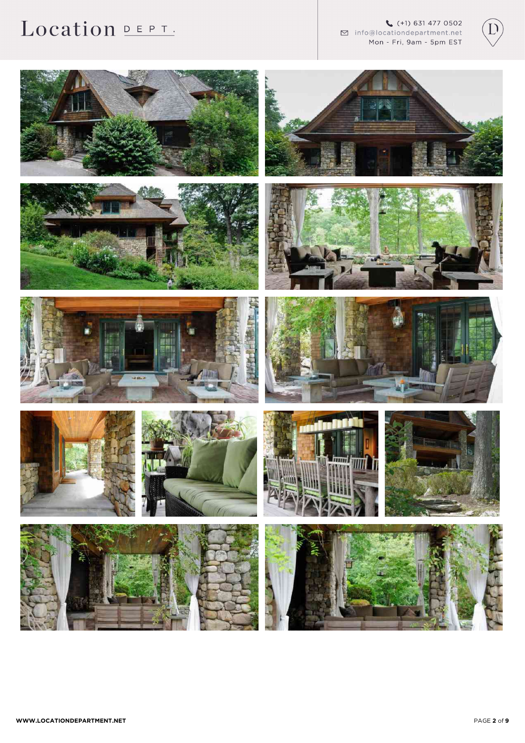

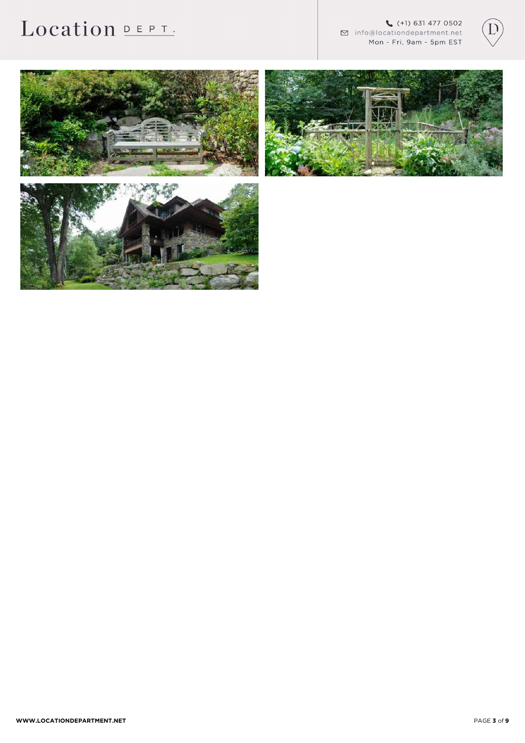





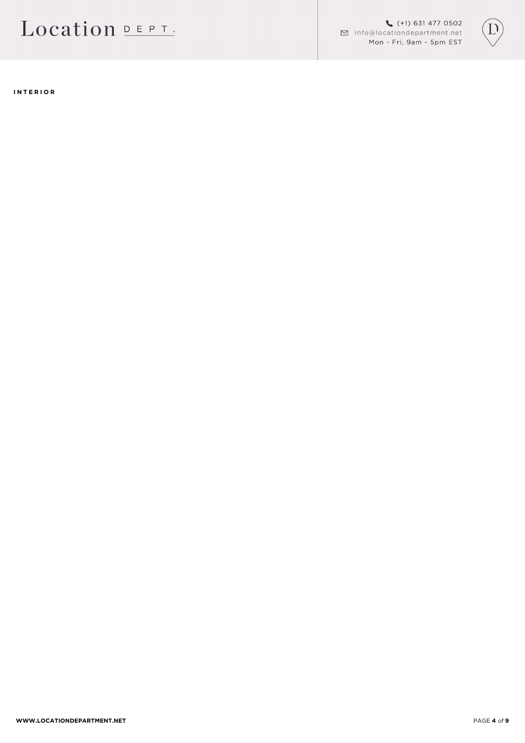$(+) 631 477 0502$ ◘ info@locationdepartment.net Mon - Fri, 9am - 5pm EST



I N T E R I O R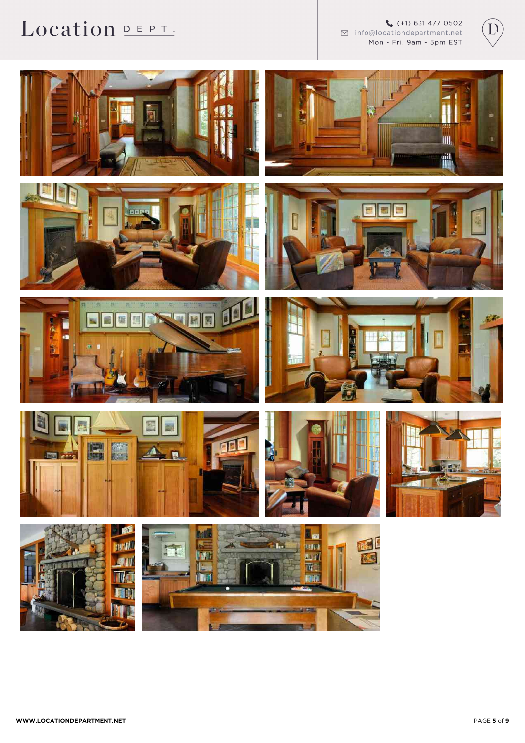$\rm D$ 











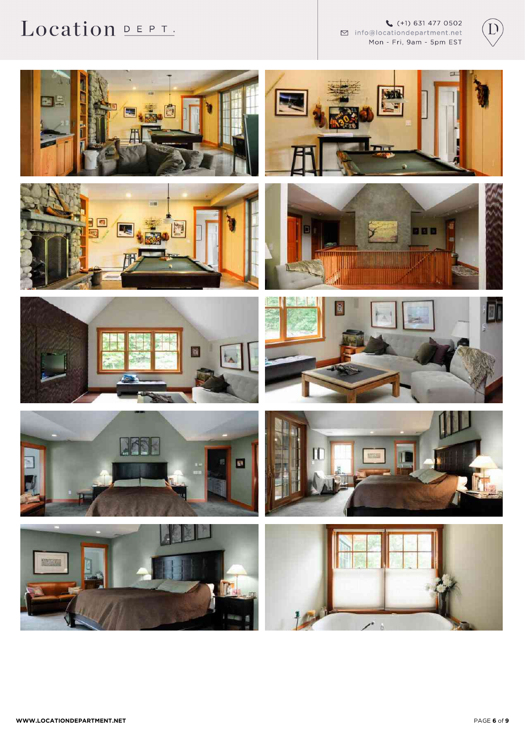

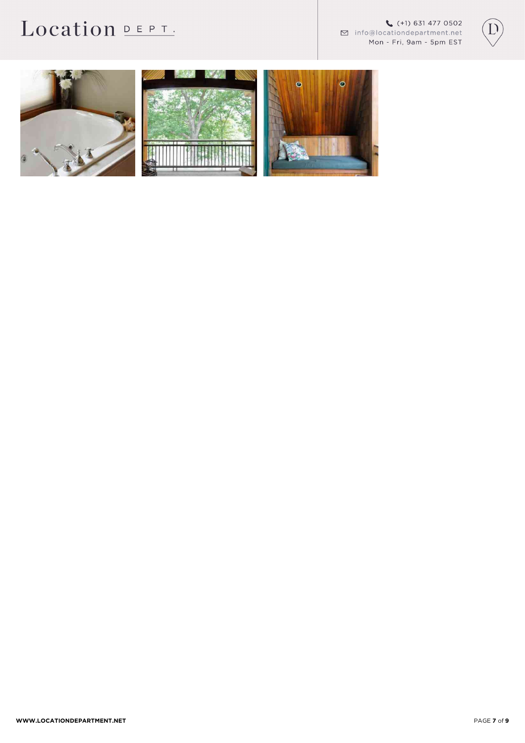



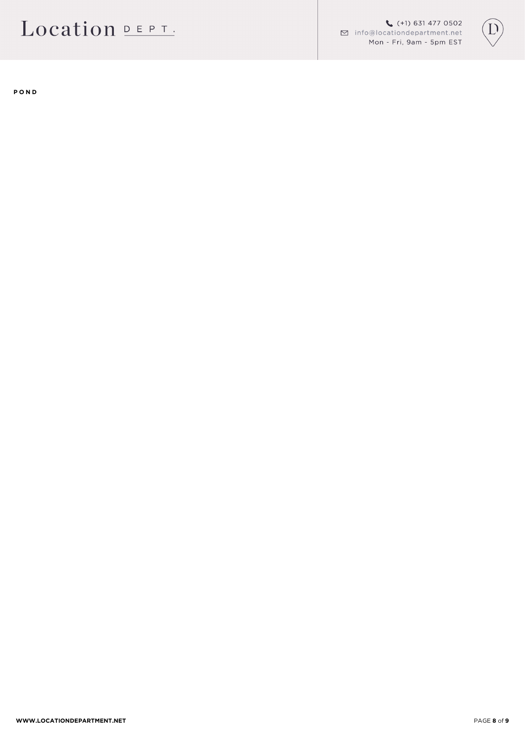$(+) 631 477 0502$ ◘ info@locationdepartment.net Mon - Fri, 9am - 5pm EST



P O N D